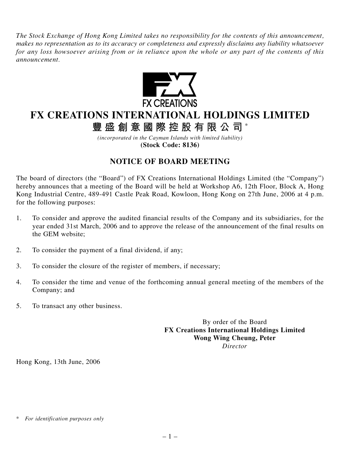*The Stock Exchange of Hong Kong Limited takes no responsibility for the contents of this announcement, makes no representation as to its accuracy or completeness and expressly disclaims any liability whatsoever for any loss howsoever arising from or in reliance upon the whole or any part of the contents of this announcement.*



## **FX CREATIONS INTERNATIONAL HOLDINGS LIMITED**

**豐盛創意國際控股有限公司** \*

*(incorporated in the Cayman Islands with limited liability)* **(Stock Code: 8136)**

## **NOTICE OF BOARD MEETING**

The board of directors (the "Board") of FX Creations International Holdings Limited (the "Company") hereby announces that a meeting of the Board will be held at Workshop A6, 12th Floor, Block A, Hong Kong Industrial Centre, 489-491 Castle Peak Road, Kowloon, Hong Kong on 27th June, 2006 at 4 p.m. for the following purposes:

- 1. To consider and approve the audited financial results of the Company and its subsidiaries, for the year ended 31st March, 2006 and to approve the release of the announcement of the final results on the GEM website;
- 2. To consider the payment of a final dividend, if any;
- 3. To consider the closure of the register of members, if necessary;
- 4. To consider the time and venue of the forthcoming annual general meeting of the members of the Company; and
- 5. To transact any other business.

By order of the Board **FX Creations International Holdings Limited Wong Wing Cheung, Peter** *Director*

Hong Kong, 13th June, 2006

*<sup>\*</sup> For identification purposes only*